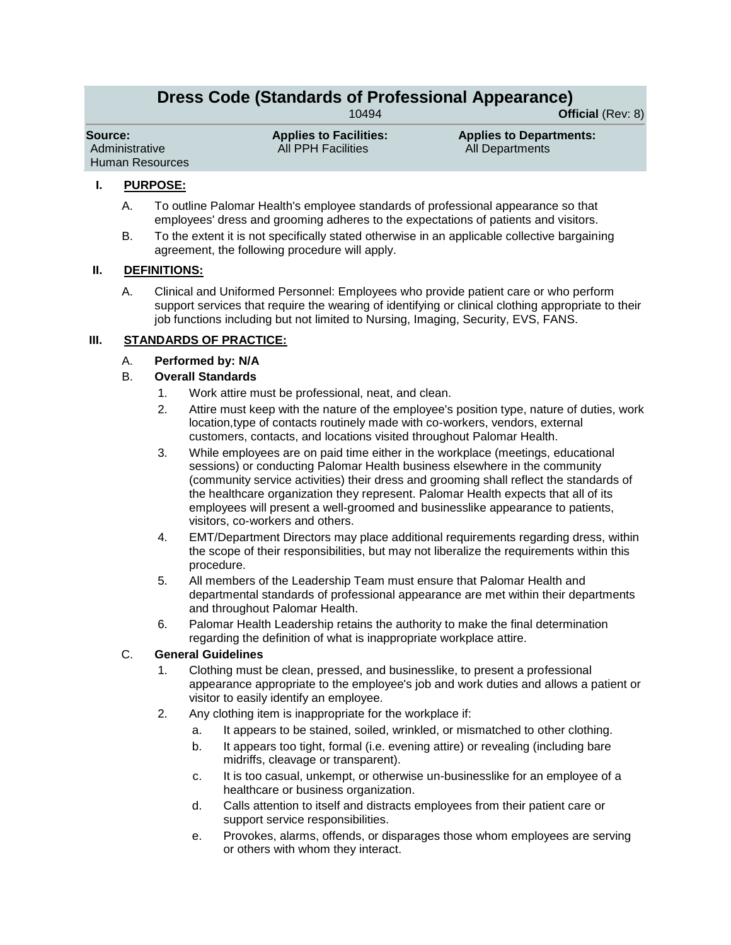# **Dress Code (Standards of Professional Appearance)**

10494 **Official** (Rev: 8)

**Source:** Administrative Human Resources **Applies to Facilities:** All PPH Facilities

**Applies to Departments:** All Departments

#### **I. PURPOSE:**

- A. To outline Palomar Health's employee standards of professional appearance so that employees' dress and grooming adheres to the expectations of patients and visitors.
- B. To the extent it is not specifically stated otherwise in an applicable collective bargaining agreement, the following procedure will apply.

## **II. DEFINITIONS:**

A. Clinical and Uniformed Personnel: Employees who provide patient care or who perform support services that require the wearing of identifying or clinical clothing appropriate to their job functions including but not limited to Nursing, Imaging, Security, EVS, FANS.

## **III. STANDARDS OF PRACTICE:**

## A. **Performed by: N/A**

# B. **Overall Standards**

- 1. Work attire must be professional, neat, and clean.
- 2. Attire must keep with the nature of the employee's position type, nature of duties, work location,type of contacts routinely made with co-workers, vendors, external customers, contacts, and locations visited throughout Palomar Health.
- 3. While employees are on paid time either in the workplace (meetings, educational sessions) or conducting Palomar Health business elsewhere in the community (community service activities) their dress and grooming shall reflect the standards of the healthcare organization they represent. Palomar Health expects that all of its employees will present a well-groomed and businesslike appearance to patients, visitors, co-workers and others.
- 4. EMT/Department Directors may place additional requirements regarding dress, within the scope of their responsibilities, but may not liberalize the requirements within this procedure.
- 5. All members of the Leadership Team must ensure that Palomar Health and departmental standards of professional appearance are met within their departments and throughout Palomar Health.
- 6. Palomar Health Leadership retains the authority to make the final determination regarding the definition of what is inappropriate workplace attire.

#### C. **General Guidelines**

- 1. Clothing must be clean, pressed, and businesslike, to present a professional appearance appropriate to the employee's job and work duties and allows a patient or visitor to easily identify an employee.
- 2. Any clothing item is inappropriate for the workplace if:
	- a. It appears to be stained, soiled, wrinkled, or mismatched to other clothing.
	- b. It appears too tight, formal (i.e. evening attire) or revealing (including bare midriffs, cleavage or transparent).
	- c. It is too casual, unkempt, or otherwise un-businesslike for an employee of a healthcare or business organization.
	- d. Calls attention to itself and distracts employees from their patient care or support service responsibilities.
	- e. Provokes, alarms, offends, or disparages those whom employees are serving or others with whom they interact.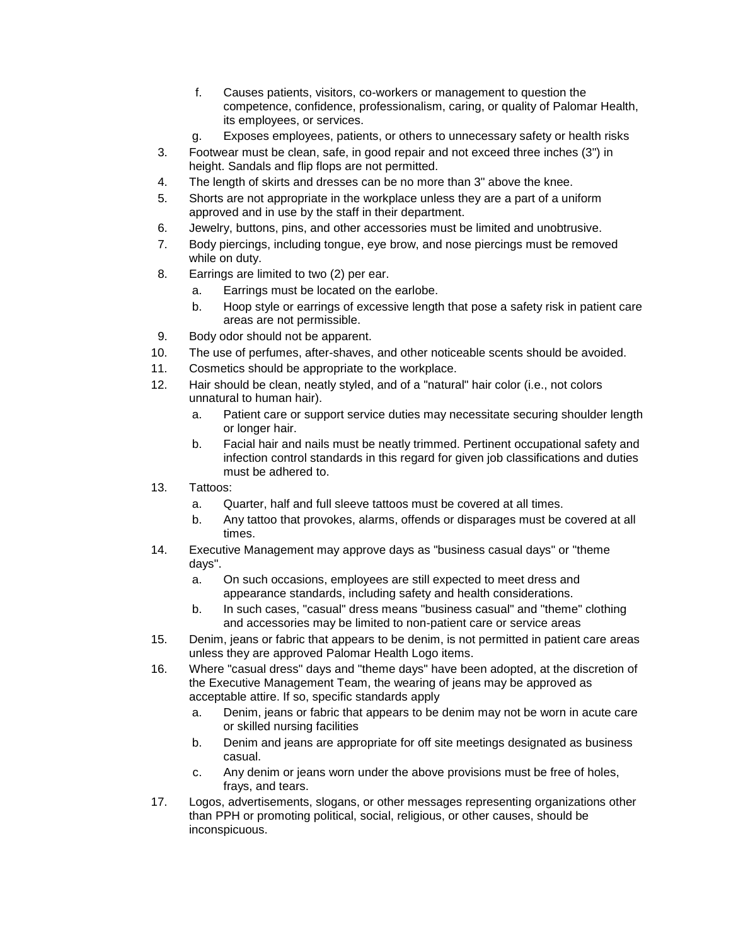- f. Causes patients, visitors, co-workers or management to question the competence, confidence, professionalism, caring, or quality of Palomar Health, its employees, or services.
- g. Exposes employees, patients, or others to unnecessary safety or health risks
- 3. Footwear must be clean, safe, in good repair and not exceed three inches (3") in height. Sandals and flip flops are not permitted.
- 4. The length of skirts and dresses can be no more than 3" above the knee.
- 5. Shorts are not appropriate in the workplace unless they are a part of a uniform approved and in use by the staff in their department.
- 6. Jewelry, buttons, pins, and other accessories must be limited and unobtrusive.
- 7. Body piercings, including tongue, eye brow, and nose piercings must be removed while on duty.
- 8. Earrings are limited to two (2) per ear.
	- a. Earrings must be located on the earlobe.
	- b. Hoop style or earrings of excessive length that pose a safety risk in patient care areas are not permissible.
- 9. Body odor should not be apparent.
- 10. The use of perfumes, after-shaves, and other noticeable scents should be avoided.
- 11. Cosmetics should be appropriate to the workplace.
- 12. Hair should be clean, neatly styled, and of a "natural" hair color (i.e., not colors unnatural to human hair).
	- a. Patient care or support service duties may necessitate securing shoulder length or longer hair.
	- b. Facial hair and nails must be neatly trimmed. Pertinent occupational safety and infection control standards in this regard for given job classifications and duties must be adhered to.
- 13. Tattoos:
	- a. Quarter, half and full sleeve tattoos must be covered at all times.
	- b. Any tattoo that provokes, alarms, offends or disparages must be covered at all times.
- 14. Executive Management may approve days as "business casual days" or "theme days".
	- a. On such occasions, employees are still expected to meet dress and appearance standards, including safety and health considerations.
	- b. In such cases, "casual" dress means "business casual" and "theme" clothing and accessories may be limited to non-patient care or service areas
- 15. Denim, jeans or fabric that appears to be denim, is not permitted in patient care areas unless they are approved Palomar Health Logo items.
- 16. Where "casual dress" days and "theme days" have been adopted, at the discretion of the Executive Management Team, the wearing of jeans may be approved as acceptable attire. If so, specific standards apply
	- a. Denim, jeans or fabric that appears to be denim may not be worn in acute care or skilled nursing facilities
	- b. Denim and jeans are appropriate for off site meetings designated as business casual.
	- c. Any denim or jeans worn under the above provisions must be free of holes, frays, and tears.
- 17. Logos, advertisements, slogans, or other messages representing organizations other than PPH or promoting political, social, religious, or other causes, should be inconspicuous.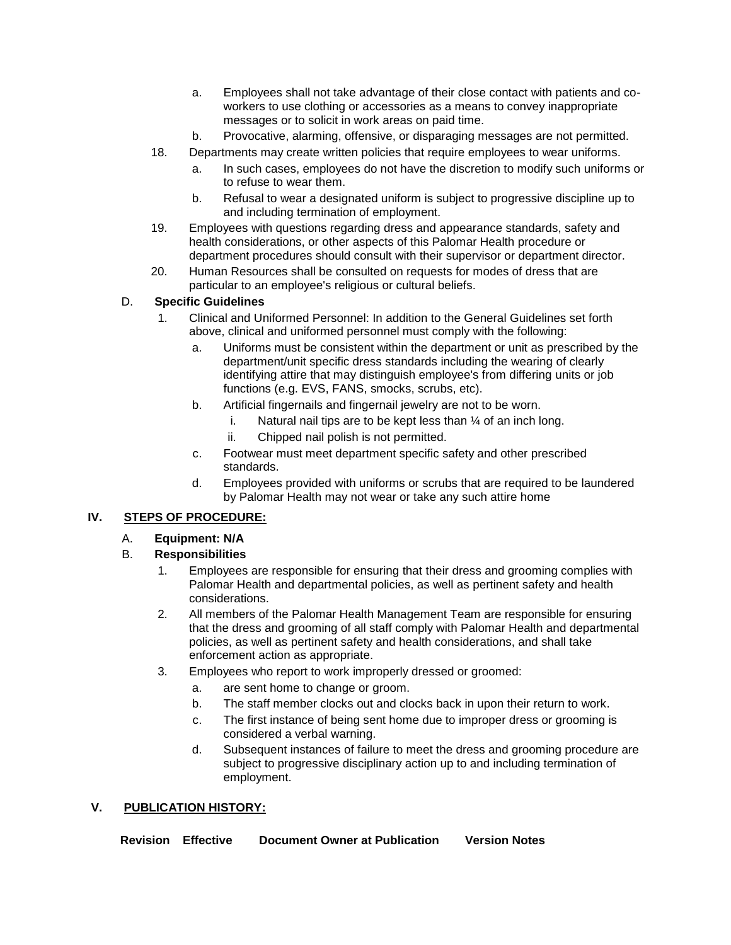- a. Employees shall not take advantage of their close contact with patients and coworkers to use clothing or accessories as a means to convey inappropriate messages or to solicit in work areas on paid time.
- b. Provocative, alarming, offensive, or disparaging messages are not permitted.
- 18. Departments may create written policies that require employees to wear uniforms.
	- a. In such cases, employees do not have the discretion to modify such uniforms or to refuse to wear them.
	- b. Refusal to wear a designated uniform is subject to progressive discipline up to and including termination of employment.
- 19. Employees with questions regarding dress and appearance standards, safety and health considerations, or other aspects of this Palomar Health procedure or department procedures should consult with their supervisor or department director.
- 20. Human Resources shall be consulted on requests for modes of dress that are particular to an employee's religious or cultural beliefs.

## D. **Specific Guidelines**

- 1. Clinical and Uniformed Personnel: In addition to the General Guidelines set forth above, clinical and uniformed personnel must comply with the following:
	- a. Uniforms must be consistent within the department or unit as prescribed by the department/unit specific dress standards including the wearing of clearly identifying attire that may distinguish employee's from differing units or job functions (e.g. EVS, FANS, smocks, scrubs, etc).
	- b. Artificial fingernails and fingernail jewelry are not to be worn.
		- i. Natural nail tips are to be kept less than  $\frac{1}{4}$  of an inch long.
		- ii. Chipped nail polish is not permitted.
	- c. Footwear must meet department specific safety and other prescribed standards.
	- d. Employees provided with uniforms or scrubs that are required to be laundered by Palomar Health may not wear or take any such attire home

# **IV. STEPS OF PROCEDURE:**

#### A. **Equipment: N/A**

#### B. **Responsibilities**

- 1. Employees are responsible for ensuring that their dress and grooming complies with Palomar Health and departmental policies, as well as pertinent safety and health considerations.
- 2. All members of the Palomar Health Management Team are responsible for ensuring that the dress and grooming of all staff comply with Palomar Health and departmental policies, as well as pertinent safety and health considerations, and shall take enforcement action as appropriate.
- 3. Employees who report to work improperly dressed or groomed:
	- a. are sent home to change or groom.
	- b. The staff member clocks out and clocks back in upon their return to work.
	- c. The first instance of being sent home due to improper dress or grooming is considered a verbal warning.
	- d. Subsequent instances of failure to meet the dress and grooming procedure are subject to progressive disciplinary action up to and including termination of employment.

#### **V. PUBLICATION HISTORY:**

**Revision Effective Document Owner at Publication Version Notes**